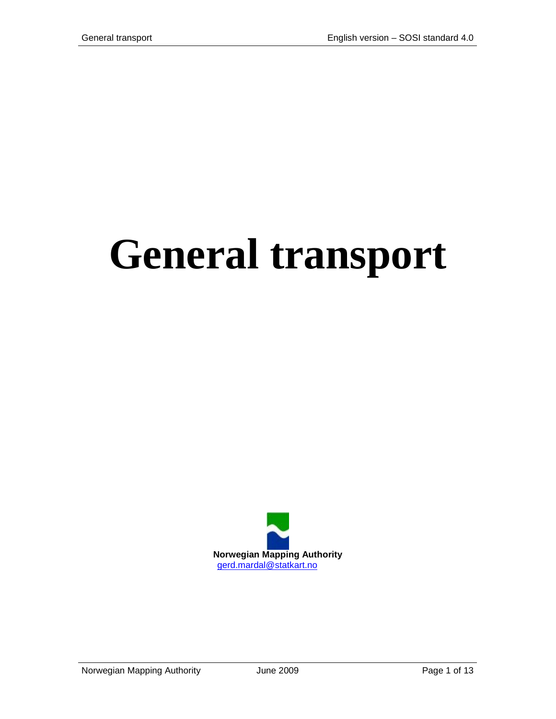# **General transport**



Norwegian Mapping Authority **June 2009 Page 1 of 13**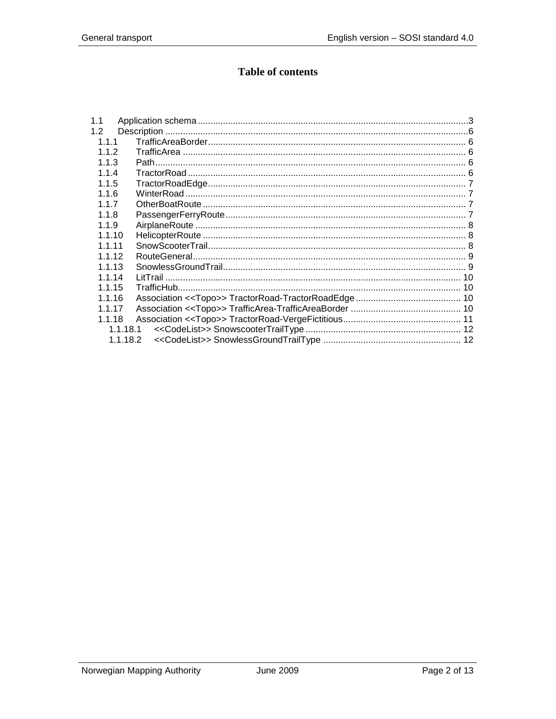# **Table of contents**

| 1.1      |  |
|----------|--|
| 1.2      |  |
| 1.1.1    |  |
| 1.1.2    |  |
| 1.1.3    |  |
| 1.1.4    |  |
| 1.1.5    |  |
| 1.1.6    |  |
| 117      |  |
| 1.1.8    |  |
| 1.1.9    |  |
| 1.1.10   |  |
| 1 1 1 1  |  |
| 1.1.12   |  |
| 1.1.13   |  |
| 1.1.14   |  |
| 1.1.15   |  |
| 1.1.16   |  |
| 1.1.17   |  |
| 1.1.18   |  |
| 1.1.18.1 |  |
| 1.1.18.2 |  |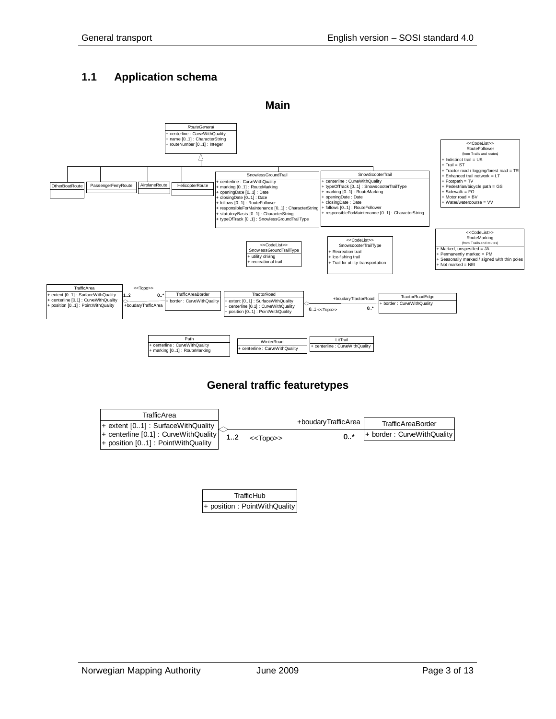# <span id="page-2-0"></span>**1.1 Application schema**



## **General traffic featuretypes**



| TrafficHub                    |  |
|-------------------------------|--|
| + position : PointWithQuality |  |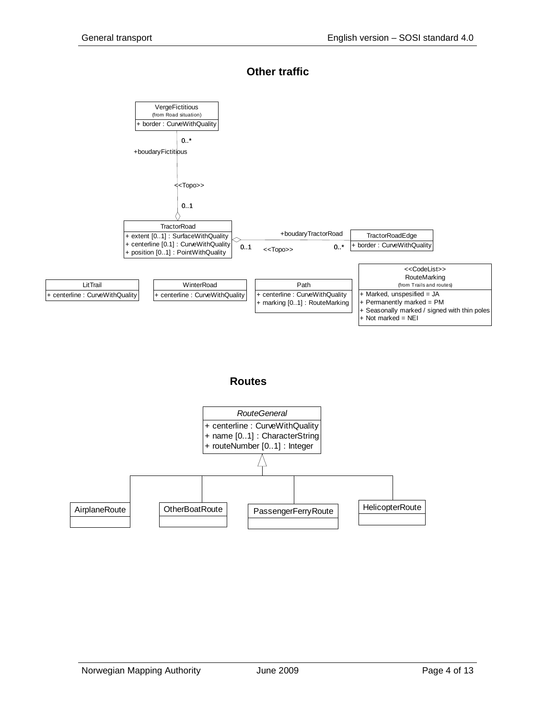#### **Other traffic**

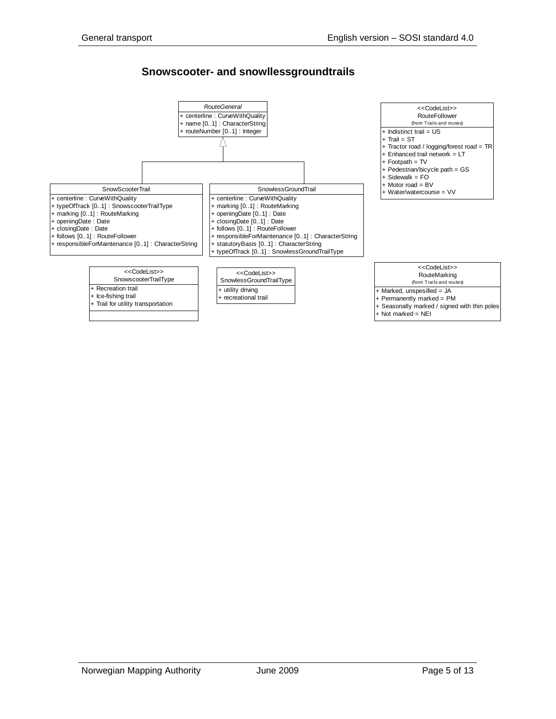#### **Snowscooter- and snowllessgroundtrails**

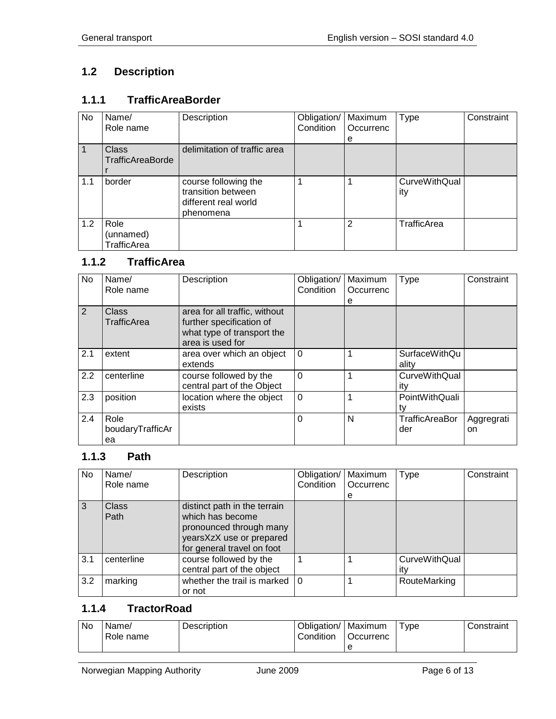# <span id="page-5-0"></span>**1.2 Description**

# <span id="page-5-1"></span>**1.1.1 TrafficAreaBorder**

| No. | Name/                            | Description                                                                     | Obligation/ | Maximum        | Type                        | Constraint |
|-----|----------------------------------|---------------------------------------------------------------------------------|-------------|----------------|-----------------------------|------------|
|     | Role name                        |                                                                                 | Condition   | Occurrenc      |                             |            |
|     |                                  |                                                                                 |             | е              |                             |            |
|     | <b>Class</b>                     | delimitation of traffic area                                                    |             |                |                             |            |
|     | TrafficAreaBorde                 |                                                                                 |             |                |                             |            |
|     |                                  |                                                                                 |             |                |                             |            |
| 1.1 | border                           | course following the<br>transition between<br>different real world<br>phenomena | 1           |                | <b>CurveWithQual</b><br>ity |            |
| 1.2 | Role<br>(unnamed)<br>TrafficArea |                                                                                 |             | $\overline{2}$ | <b>TrafficArea</b>          |            |

## <span id="page-5-2"></span>**1.1.2 TrafficArea**

| <b>No</b> | Name/<br>Role name | Description                   | Obligation/<br>Condition | Maximum<br>Occurrenc | <b>Type</b>          | Constraint |
|-----------|--------------------|-------------------------------|--------------------------|----------------------|----------------------|------------|
|           |                    |                               |                          | е                    |                      |            |
| 2         | <b>Class</b>       | area for all traffic, without |                          |                      |                      |            |
|           | TrafficArea        | further specification of      |                          |                      |                      |            |
|           |                    | what type of transport the    |                          |                      |                      |            |
|           |                    | area is used for              |                          |                      |                      |            |
| 2.1       | extent             | area over which an object     | $\Omega$                 |                      | <b>SurfaceWithQu</b> |            |
|           |                    | extends                       |                          |                      | ality                |            |
| 2.2       | centerline         | course followed by the        | $\Omega$                 |                      | <b>CurveWithQual</b> |            |
|           |                    | central part of the Object    |                          |                      | ity                  |            |
| 2.3       | position           | location where the object     | $\Omega$                 |                      | PointWithQuali       |            |
|           |                    | exists                        |                          |                      | tv                   |            |
| 2.4       | Role               |                               | 0                        | N                    | TrafficAreaBor       | Aggregrati |
|           | boudaryTrafficAr   |                               |                          |                      | der                  | on         |
|           | ea                 |                               |                          |                      |                      |            |

## <span id="page-5-3"></span>**1.1.3 Path**

| No  | Name/<br>Role name   | Description                                                                                                                           | Obligation/<br>Condition | Maximum<br>Occurrenc<br>e | Type                        | Constraint |
|-----|----------------------|---------------------------------------------------------------------------------------------------------------------------------------|--------------------------|---------------------------|-----------------------------|------------|
| 3   | <b>Class</b><br>Path | distinct path in the terrain<br>which has become<br>pronounced through many<br>yearsXzX use or prepared<br>for general travel on foot |                          |                           |                             |            |
| 3.1 | centerline           | course followed by the<br>central part of the object                                                                                  |                          |                           | <b>CurveWithQual</b><br>ıtv |            |
| 3.2 | marking              | whether the trail is marked<br>or not                                                                                                 | $\overline{0}$           |                           | RouteMarking                |            |

# <span id="page-5-4"></span>**1.1.4 TractorRoad**

| No | Name/<br>Role name | Description | Obligation/<br>Condition | Maximum<br>Occurrenc<br>e | Type | Constraint |
|----|--------------------|-------------|--------------------------|---------------------------|------|------------|
|----|--------------------|-------------|--------------------------|---------------------------|------|------------|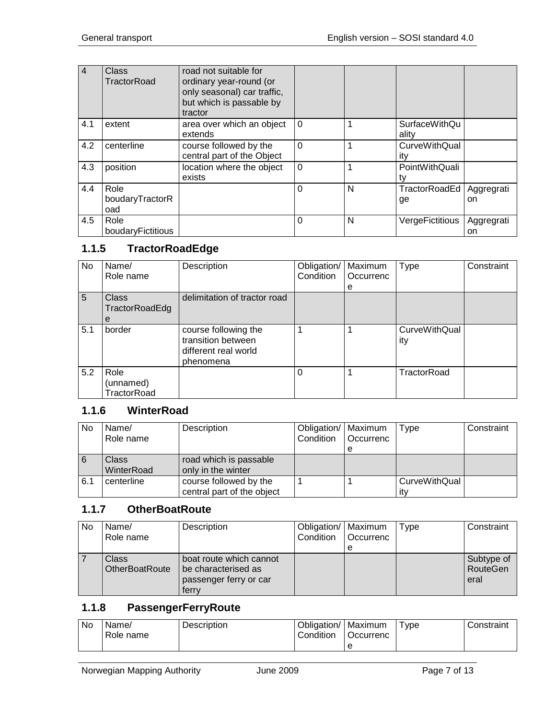| $\overline{4}$ | Class<br>TractorRoad           | road not suitable for<br>ordinary year-round (or<br>only seasonal) car traffic,<br>but which is passable by<br>tractor |          |   |                               |                   |
|----------------|--------------------------------|------------------------------------------------------------------------------------------------------------------------|----------|---|-------------------------------|-------------------|
| 4.1            | extent                         | area over which an object<br>extends                                                                                   | $\Omega$ |   | <b>SurfaceWithQu</b><br>ality |                   |
| 4.2            | centerline                     | course followed by the<br>central part of the Object                                                                   | 0        |   | <b>CurveWithQual</b><br>itv   |                   |
| 4.3            | position                       | location where the object<br>exists                                                                                    | $\Omega$ |   | PointWithQuali                |                   |
| 4.4            | Role<br>boudaryTractorR<br>oad |                                                                                                                        | 0        | N | TractorRoadEd<br>ge           | Aggregrati<br>on. |
| 4.5            | Role<br>boudaryFictitious      |                                                                                                                        | 0        | N | VergeFictitious               | Aggregrati<br>on  |

## <span id="page-6-0"></span>**1.1.5 TractorRoadEdge**

| No  | Name/                            | Description                                                                     | Obligation/ | Maximum   | Type                        | Constraint |
|-----|----------------------------------|---------------------------------------------------------------------------------|-------------|-----------|-----------------------------|------------|
|     | Role name                        |                                                                                 | Condition   | Occurrenc |                             |            |
|     |                                  |                                                                                 |             | е         |                             |            |
| 5   | <b>Class</b><br>TractorRoadEdg   | delimitation of tractor road                                                    |             |           |                             |            |
|     | е                                |                                                                                 |             |           |                             |            |
| 5.1 | border                           | course following the<br>transition between<br>different real world<br>phenomena |             |           | <b>CurveWithQual</b><br>ity |            |
| 5.2 | Role<br>(unnamed)<br>TractorRoad |                                                                                 | $\Omega$    |           | TractorRoad                 |            |

# <span id="page-6-1"></span>**1.1.6 WinterRoad**

| No  | Name/      | Description                | Obligation/   Maximum |                  | Type          | Constraint |
|-----|------------|----------------------------|-----------------------|------------------|---------------|------------|
|     | Role name  |                            | Condition             | <b>Occurrenc</b> |               |            |
|     |            |                            |                       |                  |               |            |
| 6   | Class      | road which is passable     |                       |                  |               |            |
|     | WinterRoad | only in the winter         |                       |                  |               |            |
| 6.1 | centerline | course followed by the     |                       |                  | CurveWithQual |            |
|     |            | central part of the object |                       |                  | itv           |            |

## <span id="page-6-2"></span>**1.1.7 OtherBoatRoute**

| No | Name/<br>Role name      | Description                                                                       | Obligation/   Maximum<br>Condition | Occurrenc<br>e | Type | Constraint                     |
|----|-------------------------|-----------------------------------------------------------------------------------|------------------------------------|----------------|------|--------------------------------|
|    | Class<br>OtherBoatRoute | boat route which cannot<br>be characterised as<br>passenger ferry or car<br>ferrv |                                    |                |      | Subtype of<br>RouteGen<br>eral |

## <span id="page-6-3"></span>**1.1.8 PassengerFerryRoute**

| <b>No</b> | Name/<br>Role name | Description | Obligation/<br>Condition | Maximum<br>Occurrenc | Type | Constraint |
|-----------|--------------------|-------------|--------------------------|----------------------|------|------------|
|           |                    |             |                          |                      |      |            |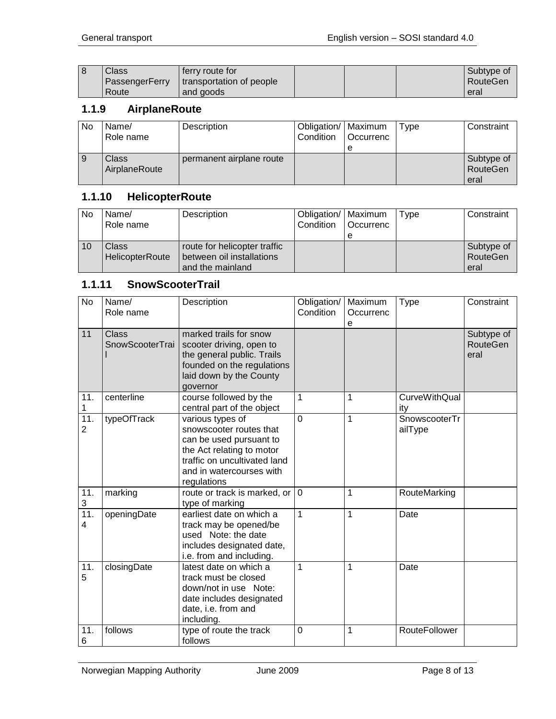| l 8 | Class          | ferry route for          |  | Subtype of |
|-----|----------------|--------------------------|--|------------|
|     | PassengerFerry | transportation of people |  | RouteGen   |
|     | Route          | and goods                |  | eral       |

## <span id="page-7-0"></span>**1.1.9 AirplaneRoute**

| No | Name/<br>Role name     | Description              | Obligation/   Maximum<br>Condition | Occurrenc | Type | Constraint                     |
|----|------------------------|--------------------------|------------------------------------|-----------|------|--------------------------------|
|    | Class<br>AirplaneRoute | permanent airplane route |                                    |           |      | Subtype of<br>RouteGen<br>eral |

## <span id="page-7-1"></span>**1.1.10 HelicopterRoute**

| No | Name/<br>Role name       | Description                                                                   | Obligation/   Maximum<br>Condition | <b>Occurrenc</b> | Type | Constraint                     |
|----|--------------------------|-------------------------------------------------------------------------------|------------------------------------|------------------|------|--------------------------------|
| 10 | Class<br>HelicopterRoute | route for helicopter traffic<br>between oil installations<br>and the mainland |                                    |                  |      | Subtype of<br>RouteGen<br>eral |

## <span id="page-7-2"></span>**1.1.11 SnowScooterTrail**

| <b>No</b>                           | Name/<br>Role name              | Description                                                                                                                                                                    | Obligation/<br>Condition | Maximum<br>Occurrenc<br>е | <b>Type</b>                 | Constraint                            |
|-------------------------------------|---------------------------------|--------------------------------------------------------------------------------------------------------------------------------------------------------------------------------|--------------------------|---------------------------|-----------------------------|---------------------------------------|
| 11                                  | <b>Class</b><br>SnowScooterTrai | marked trails for snow<br>scooter driving, open to<br>the general public. Trails<br>founded on the regulations<br>laid down by the County<br>governor                          |                          |                           |                             | Subtype of<br><b>RouteGen</b><br>eral |
| 11.<br>1                            | centerline                      | course followed by the<br>central part of the object                                                                                                                           | $\mathbf{1}$             | 1                         | <b>CurveWithQual</b><br>ity |                                       |
| $\overline{11}$ .<br>$\overline{2}$ | typeOfTrack                     | various types of<br>snowscooter routes that<br>can be used pursuant to<br>the Act relating to motor<br>traffic on uncultivated land<br>and in watercourses with<br>regulations | $\mathbf 0$              | 1                         | SnowscooterTr<br>ailType    |                                       |
| 11.<br>3                            | marking                         | route or track is marked, or   0<br>type of marking                                                                                                                            |                          | 1                         | RouteMarking                |                                       |
| 11.<br>4                            | openingDate                     | earliest date on which a<br>track may be opened/be<br>used Note: the date<br>includes designated date,<br>i.e. from and including.                                             | $\mathbf{1}$             | 1                         | Date                        |                                       |
| 11.<br>5                            | closingDate                     | latest date on which a<br>track must be closed<br>down/not in use Note:<br>date includes designated<br>date, i.e. from and<br>including.                                       | $\mathbf{1}$             | 1                         | Date                        |                                       |
| 11.<br>6                            | follows                         | type of route the track<br>follows                                                                                                                                             | $\mathbf 0$              | 1                         | RouteFollower               |                                       |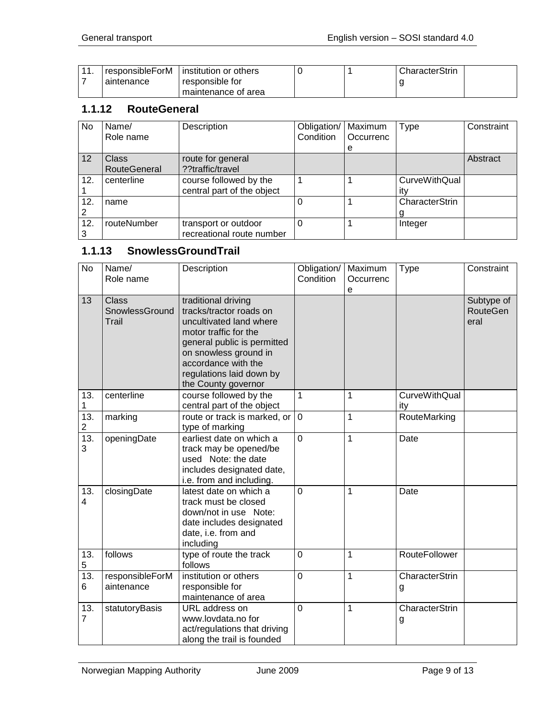| -44 | responsibleForM | institution or others |  | CharacterStrin |
|-----|-----------------|-----------------------|--|----------------|
|     | aintenance      | responsible for       |  |                |
|     |                 | maintenance of area   |  |                |

#### <span id="page-8-0"></span>**1.1.12 RouteGeneral**

| No  | Name/               | Description                | Obligation/ | Maximum   | Type                 | Constraint |
|-----|---------------------|----------------------------|-------------|-----------|----------------------|------------|
|     | Role name           |                            | Condition   | Occurrenc |                      |            |
|     |                     |                            |             | е         |                      |            |
| 12  | Class               | route for general          |             |           |                      | Abstract   |
|     | <b>RouteGeneral</b> | ??traffic/travel           |             |           |                      |            |
| 12. | centerline          | course followed by the     |             |           | <b>CurveWithQual</b> |            |
|     |                     | central part of the object |             |           | ıtv                  |            |
| 12. | name                |                            |             |           | CharacterStrin       |            |
|     |                     |                            |             |           |                      |            |
| 12. | routeNumber         | transport or outdoor       | $\Omega$    |           | Integer              |            |
|     |                     | recreational route number  |             |           |                      |            |

# <span id="page-8-1"></span>**1.1.13 SnowlessGroundTrail**

| No                    | Name/<br>Role name                      | Description                                                                                                                                                                                                                          | Obligation/<br>Condition | Maximum<br>Occurrenc | <b>Type</b>                 | Constraint                     |
|-----------------------|-----------------------------------------|--------------------------------------------------------------------------------------------------------------------------------------------------------------------------------------------------------------------------------------|--------------------------|----------------------|-----------------------------|--------------------------------|
| 13                    | <b>Class</b><br>SnowlessGround<br>Trail | traditional driving<br>tracks/tractor roads on<br>uncultivated land where<br>motor traffic for the<br>general public is permitted<br>on snowless ground in<br>accordance with the<br>regulations laid down by<br>the County governor |                          | e                    |                             | Subtype of<br>RouteGen<br>eral |
| 13.<br>1              | centerline                              | course followed by the<br>central part of the object                                                                                                                                                                                 | 1                        | 1                    | <b>CurveWithQual</b><br>ity |                                |
| 13.<br>$\overline{c}$ | marking                                 | route or track is marked, or<br>type of marking                                                                                                                                                                                      | $\mathbf 0$              | $\mathbf 1$          | RouteMarking                |                                |
| 13.<br>3              | openingDate                             | earliest date on which a<br>track may be opened/be<br>used Note: the date<br>includes designated date,<br>i.e. from and including.                                                                                                   | $\mathbf 0$              | $\mathbf 1$          | Date                        |                                |
| 13.<br>4              | closingDate                             | latest date on which a<br>track must be closed<br>down/not in use Note:<br>date includes designated<br>date, i.e. from and<br>including                                                                                              | $\overline{0}$           | 1                    | Date                        |                                |
| 13.<br>5              | follows                                 | type of route the track<br>follows                                                                                                                                                                                                   | $\mathbf 0$              | 1                    | RouteFollower               |                                |
| 13.<br>6              | responsibleForM<br>aintenance           | institution or others<br>responsible for<br>maintenance of area                                                                                                                                                                      | $\overline{0}$           | 1                    | CharacterStrin<br>g         |                                |
| 13.<br>$\overline{7}$ | statutoryBasis                          | URL address on<br>www.lovdata.no for<br>act/regulations that driving<br>along the trail is founded                                                                                                                                   | $\overline{0}$           | 1                    | CharacterStrin<br>g         |                                |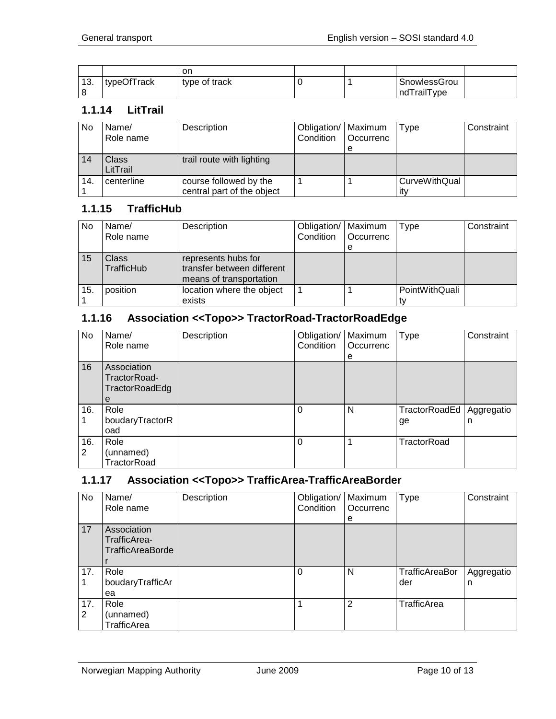|               |             | on            |  |              |  |
|---------------|-------------|---------------|--|--------------|--|
| - 4 0<br>.ن ا | typeOfTrack | type of track |  | SnowlessGrou |  |
|               |             |               |  | ndTrailType  |  |

#### <span id="page-9-0"></span>**1.1.14 LitTrail**

| No  | Name/<br>Role name | Description                | Obligation/   Maximum<br>Condition | <b>Occurrenc</b> | Type                 | Constraint |
|-----|--------------------|----------------------------|------------------------------------|------------------|----------------------|------------|
|     |                    |                            |                                    | е                |                      |            |
| 14  | Class              | trail route with lighting  |                                    |                  |                      |            |
|     | LitTrail           |                            |                                    |                  |                      |            |
| 14. | centerline         | course followed by the     |                                    |                  | <b>CurveWithQual</b> |            |
|     |                    | central part of the object |                                    |                  | itv                  |            |

## <span id="page-9-1"></span>**1.1.15 TrafficHub**

| No  | Name/<br>Role name  | Description                                                                  | Obligation/   Maximum<br>Condition | Occurrenc | <b>Type</b>    | Constraint |
|-----|---------------------|------------------------------------------------------------------------------|------------------------------------|-----------|----------------|------------|
|     |                     |                                                                              |                                    | е         |                |            |
| 15  | Class<br>TrafficHub | represents hubs for<br>transfer between different<br>means of transportation |                                    |           |                |            |
| 15. | position            | location where the object                                                    |                                    |           | PointWithQuali |            |
|     |                     | exists                                                                       |                                    |           |                |            |

## <span id="page-9-2"></span>**1.1.16 Association <<Topo>> TractorRoad-TractorRoadEdge**

| No       | Name/<br>Role name                                 | Description | Obligation/   Maximum<br>Condition | <b>Occurrenc</b> | <b>Type</b>         | Constraint      |
|----------|----------------------------------------------------|-------------|------------------------------------|------------------|---------------------|-----------------|
|          |                                                    |             |                                    | e                |                     |                 |
| 16       | Association<br>TractorRoad-<br>TractorRoadEdg<br>е |             |                                    |                  |                     |                 |
| 16.      | Role<br>boudaryTractorR<br>oad                     |             | $\Omega$                           | N                | TractorRoadEd<br>ge | Aggregatio<br>n |
| 16.<br>2 | Role<br>(unnamed)<br>TractorRoad                   |             | $\Omega$                           |                  | TractorRoad         |                 |

#### <span id="page-9-3"></span>**1.1.17 Association <<Topo>> TrafficArea-TrafficAreaBorder**

| No.      | Name/                                                  | Description | Obligation/ | Maximum        | <b>Type</b>           | Constraint      |
|----------|--------------------------------------------------------|-------------|-------------|----------------|-----------------------|-----------------|
|          | Role name                                              |             | Condition   | Occurrenc      |                       |                 |
| 17       | Association<br>TrafficArea-<br><b>TrafficAreaBorde</b> |             |             | e              |                       |                 |
| 17.      | Role<br>boudaryTrafficAr<br>ea                         |             | $\Omega$    | N              | TrafficAreaBor<br>der | Aggregatio<br>n |
| 17.<br>2 | Role<br>(unnamed)<br><b>TrafficArea</b>                |             |             | $\overline{2}$ | TrafficArea           |                 |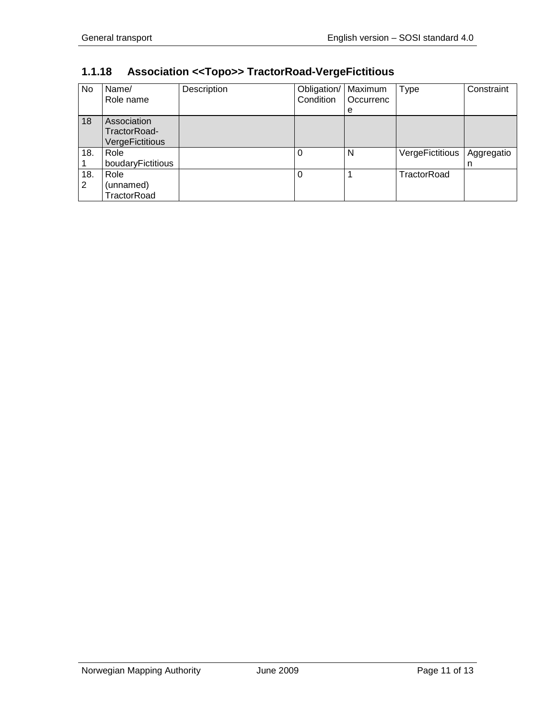| No       | Name/<br>Role name                                    | Description | Obligation/<br>Condition | Maximum<br>Occurrenc<br>е | <b>Type</b>     | Constraint |
|----------|-------------------------------------------------------|-------------|--------------------------|---------------------------|-----------------|------------|
| 18       | Association<br>TractorRoad-<br><b>VergeFictitious</b> |             |                          |                           |                 |            |
| 18.      | Role<br>boudaryFictitious                             |             | 0                        | N                         | VergeFictitious | Aggregatio |
| 18.<br>2 | Role<br>(unnamed)<br>TractorRoad                      |             | 0                        |                           | TractorRoad     |            |

# <span id="page-10-0"></span>**1.1.18 Association <<Topo>> TractorRoad-VergeFictitious**